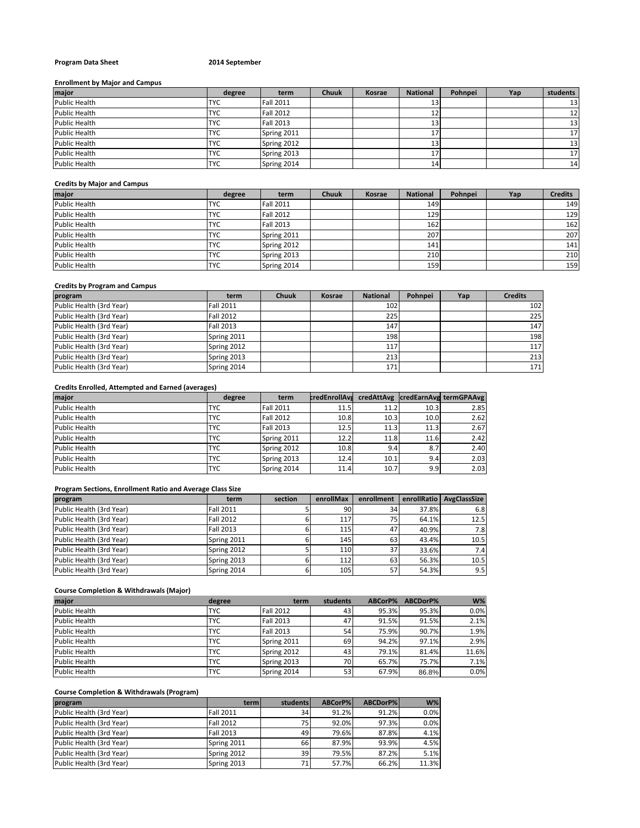## **Program Data Sheet 2014 September**

#### **Enrollment by Major and Campus**

| major         | degree     | term             | <b>Chuuk</b> | Kosrae | <b>National</b> | Pohnpei | Yap | students        |
|---------------|------------|------------------|--------------|--------|-----------------|---------|-----|-----------------|
| Public Health | <b>TYC</b> | <b>Fall 2011</b> |              |        | 13              |         |     | 13              |
| Public Health | <b>TYC</b> | <b>Fall 2012</b> |              |        | 12              |         |     | 12              |
| Public Health | <b>TYC</b> | <b>Fall 2013</b> |              |        | 13              |         |     | 13              |
| Public Health | <b>TYC</b> | Spring 2011      |              |        | 17              |         |     | 17              |
| Public Health | <b>TYC</b> | Spring 2012      |              |        | 13              |         |     | 13              |
| Public Health | <b>TYC</b> | Spring 2013      |              |        | 17              |         |     | 17 <sup>1</sup> |
| Public Health | <b>TYC</b> | Spring 2014      |              |        | 14              |         |     | 14              |

## **Credits by Major and Campus**

| major                | degree     | term             | <b>Chuuk</b> | <b>Kosrae</b> | <b>National</b> | Pohnpei | Yap | <b>Credits</b> |
|----------------------|------------|------------------|--------------|---------------|-----------------|---------|-----|----------------|
| <b>Public Health</b> | <b>TYC</b> | <b>Fall 2011</b> |              |               | 149             |         |     | 149            |
| <b>Public Health</b> | <b>TYC</b> | <b>Fall 2012</b> |              |               | 129             |         |     | 129            |
| <b>Public Health</b> | <b>TYC</b> | <b>Fall 2013</b> |              |               | 162             |         |     | 162            |
| <b>Public Health</b> | <b>TYC</b> | Spring 2011      |              |               | 207             |         |     | 207            |
| <b>Public Health</b> | <b>TYC</b> | Spring 2012      |              |               | 141             |         |     | 141            |
| <b>Public Health</b> | <b>TYC</b> | Spring 2013      |              |               | 210             |         |     | 210            |
| Public Health        | <b>TYC</b> | Spring 2014      |              |               | 159             |         |     | 159            |

## **Credits by Program and Campus**

| program                  | term             | <b>Chuuk</b> | Kosrae | <b>National</b> | Pohnpei | Yap | <b>Credits</b> |
|--------------------------|------------------|--------------|--------|-----------------|---------|-----|----------------|
| Public Health (3rd Year) | <b>Fall 2011</b> |              |        | 102             |         |     | 102            |
| Public Health (3rd Year) | <b>Fall 2012</b> |              |        | 225             |         |     | 225            |
| Public Health (3rd Year) | <b>Fall 2013</b> |              |        | 147             |         |     | 147            |
| Public Health (3rd Year) | Spring 2011      |              |        | 198             |         |     | 198            |
| Public Health (3rd Year) | Spring 2012      |              |        | 117             |         |     | 117            |
| Public Health (3rd Year) | Spring 2013      |              |        | 213             |         |     | 213            |
| Public Health (3rd Year) | Spring 2014      |              |        | 171             |         |     | 171            |

## **Credits Enrolled, Attempted and Earned (averages)**

| major                | degree     | term             | <b>credEnrollAva</b> |      |      | credAttAvg  credEarnAvg termGPAAvg |
|----------------------|------------|------------------|----------------------|------|------|------------------------------------|
| <b>Public Health</b> | TYC        | <b>Fall 2011</b> | 11.5                 | 11.2 | 10.3 | 2.85                               |
| Public Health        | TYC        | <b>Fall 2012</b> | 10.8                 | 10.3 | 10.0 | 2.62                               |
| <b>Public Health</b> | TYC        | <b>Fall 2013</b> | 12.5                 | 11.3 | 11.3 | 2.67                               |
| <b>Public Health</b> | <b>TYC</b> | Spring 2011      | 12.2                 | 11.8 | 11.6 | 2.42                               |
| Public Health        | <b>TYC</b> | Spring 2012      | 10.8                 | 9.41 | 8.7  | 2.40                               |
| <b>Public Health</b> | <b>TYC</b> | Spring 2013      | 12.4                 | 10.1 | 9.41 | 2.03                               |
| <b>Public Health</b> | TYC        | Spring 2014      | 11.4                 | 10.7 | 9.9  | 2.03                               |

## **Program Sections, Enrollment Ratio and Average Class Size**

| program                  | term             | section | enrollMax | enrollment |       | enrollRatio AvgClassSize |
|--------------------------|------------------|---------|-----------|------------|-------|--------------------------|
| Public Health (3rd Year) | <b>Fall 2011</b> |         | 90        | 34         | 37.8% | 6.8                      |
| Public Health (3rd Year) | <b>Fall 2012</b> |         | 117       |            | 64.1% | 12.5                     |
| Public Health (3rd Year) | <b>Fall 2013</b> |         | 115       | 47         | 40.9% | 7.8                      |
| Public Health (3rd Year) | Spring 2011      |         | 145       | 63         | 43.4% | 10.5                     |
| Public Health (3rd Year) | Spring 2012      |         | 110       | 37         | 33.6% | 7.4                      |
| Public Health (3rd Year) | Spring 2013      |         | 112       | 63         | 56.3% | 10.5                     |
| Public Health (3rd Year) | Spring 2014      |         | 105       | 57         | 54.3% | 9.5                      |

## **Course Completion & Withdrawals (Major)**

| major         | degree     | term             | students | ABCorP% | ABCDorP% | $W\%$ |
|---------------|------------|------------------|----------|---------|----------|-------|
| Public Health | TYC        | <b>Fall 2012</b> | 43       | 95.3%   | 95.3%    | 0.0%  |
| Public Health | TYC        | <b>Fall 2013</b> | 47       | 91.5%   | 91.5%    | 2.1%  |
| Public Health | TYC        | <b>Fall 2013</b> | 54       | 75.9%   | 90.7%    | 1.9%  |
| Public Health | TYC        | Spring 2011      | 69       | 94.2%   | 97.1%    | 2.9%  |
| Public Health | TYC        | Spring 2012      | 43       | 79.1%   | 81.4%    | 11.6% |
| Public Health | TYC        | Spring 2013      | 70       | 65.7%   | 75.7%    | 7.1%  |
| Public Health | <b>TYC</b> | Spring 2014      | 53       | 67.9%   | 86.8%    | 0.0%  |

# **Course Completion & Withdrawals (Program)**

| program                  | term             | students        | ABCorP% | ABCDorP% | $W\%$ |
|--------------------------|------------------|-----------------|---------|----------|-------|
| Public Health (3rd Year) | <b>Fall 2011</b> | 34              | 91.2%   | 91.2%    | 0.0%  |
| Public Health (3rd Year) | <b>Fall 2012</b> | 75              | 92.0%   | 97.3%    | 0.0%  |
| Public Health (3rd Year) | <b>Fall 2013</b> | 49              | 79.6%   | 87.8%    | 4.1%  |
| Public Health (3rd Year) | Spring 2011      | 66l             | 87.9%   | 93.9%    | 4.5%  |
| Public Health (3rd Year) | Spring 2012      | 39 <sub>1</sub> | 79.5%   | 87.2%    | 5.1%  |
| Public Health (3rd Year) | Spring 2013      | 71              | 57.7%   | 66.2%    | 11.3% |